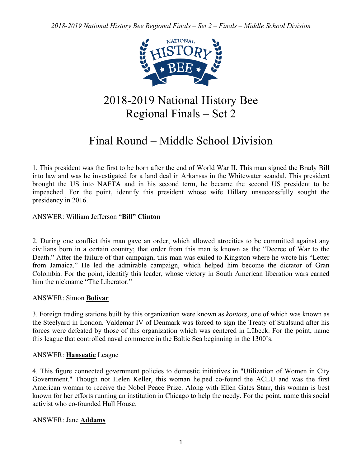

## 2018-2019 National History Bee Regional Finals – Set 2

# Final Round – Middle School Division

1. This president was the first to be born after the end of World War II. This man signed the Brady Bill into law and was he investigated for a land deal in Arkansas in the Whitewater scandal. This president brought the US into NAFTA and in his second term, he became the second US president to be impeached. For the point, identify this president whose wife Hillary unsuccessfully sought the presidency in 2016.

## ANSWER: William Jefferson "**Bill" Clinton**

2. During one conflict this man gave an order, which allowed atrocities to be committed against any civilians born in a certain country; that order from this man is known as the "Decree of War to the Death." After the failure of that campaign, this man was exiled to Kingston where he wrote his "Letter from Jamaica." He led the admirable campaign, which helped him become the dictator of Gran Colombia. For the point, identify this leader, whose victory in South American liberation wars earned him the nickname "The Liberator."

## ANSWER: Simon **Bolivar**

3. Foreign trading stations built by this organization were known as *kontors*, one of which was known as the Steelyard in London. Valdemar IV of Denmark was forced to sign the Treaty of Stralsund after his forces were defeated by those of this organization which was centered in Lübeck. For the point, name this league that controlled naval commerce in the Baltic Sea beginning in the 1300's.

## ANSWER: **Hanseatic** League

4. This figure connected government policies to domestic initiatives in "Utilization of Women in City Government." Though not Helen Keller, this woman helped co-found the ACLU and was the first American woman to receive the Nobel Peace Prize. Along with Ellen Gates Starr, this woman is best known for her efforts running an institution in Chicago to help the needy. For the point, name this social activist who co-founded Hull House.

## ANSWER: Jane **Addams**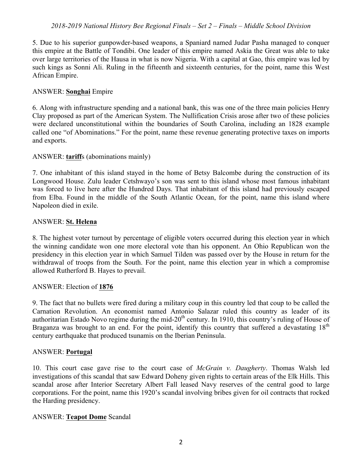### *2018-2019 National History Bee Regional Finals – Set 2 – Finals – Middle School Division*

5. Due to his superior gunpowder-based weapons, a Spaniard named Judar Pasha managed to conquer this empire at the Battle of Tondibi. One leader of this empire named Askia the Great was able to take over large territories of the Hausa in what is now Nigeria. With a capital at Gao, this empire was led by such kings as Sonni Ali. Ruling in the fifteenth and sixteenth centuries, for the point, name this West African Empire.

#### ANSWER: **Songhai** Empire

6. Along with infrastructure spending and a national bank, this was one of the three main policies Henry Clay proposed as part of the American System. The Nullification Crisis arose after two of these policies were declared unconstitutional within the boundaries of South Carolina, including an 1828 example called one "of Abominations." For the point, name these revenue generating protective taxes on imports and exports.

#### ANSWER: **tariff**s (abominations mainly)

7. One inhabitant of this island stayed in the home of Betsy Balcombe during the construction of its Longwood House. Zulu leader Cetshwayo's son was sent to this island whose most famous inhabitant was forced to live here after the Hundred Days. That inhabitant of this island had previously escaped from Elba. Found in the middle of the South Atlantic Ocean, for the point, name this island where Napoleon died in exile.

#### ANSWER: **St. Helena**

8. The highest voter turnout by percentage of eligible voters occurred during this election year in which the winning candidate won one more electoral vote than his opponent. An Ohio Republican won the presidency in this election year in which Samuel Tilden was passed over by the House in return for the withdrawal of troops from the South. For the point, name this election year in which a compromise allowed Rutherford B. Hayes to prevail.

#### ANSWER: Election of **1876**

9. The fact that no bullets were fired during a military coup in this country led that coup to be called the Carnation Revolution. An economist named Antonio Salazar ruled this country as leader of its authoritarian Estado Novo regime during the mid- $20<sup>th</sup>$  century. In 1910, this country's ruling of House of Braganza was brought to an end. For the point, identify this country that suffered a devastating 18<sup>th</sup> century earthquake that produced tsunamis on the Iberian Peninsula.

#### ANSWER: **Portugal**

10. This court case gave rise to the court case of *McGrain v. Daugherty*. Thomas Walsh led investigations of this scandal that saw Edward Doheny given rights to certain areas of the Elk Hills. This scandal arose after Interior Secretary Albert Fall leased Navy reserves of the central good to large corporations. For the point, name this 1920's scandal involving bribes given for oil contracts that rocked the Harding presidency.

#### ANSWER: **Teapot Dome** Scandal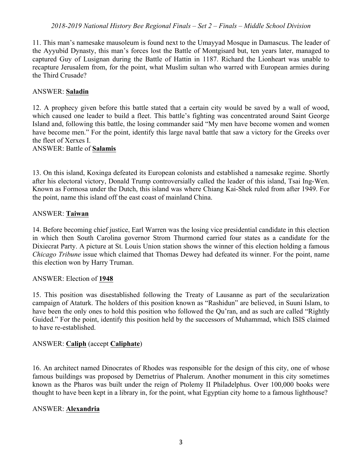### *2018-2019 National History Bee Regional Finals – Set 2 – Finals – Middle School Division*

11. This man's namesake mausoleum is found next to the Umayyad Mosque in Damascus. The leader of the Ayyubid Dynasty, this man's forces lost the Battle of Montgisard but, ten years later, managed to captured Guy of Lusignan during the Battle of Hattin in 1187. Richard the Lionheart was unable to recapture Jerusalem from, for the point, what Muslim sultan who warred with European armies during the Third Crusade?

#### ANSWER: **Saladin**

12. A prophecy given before this battle stated that a certain city would be saved by a wall of wood, which caused one leader to build a fleet. This battle's fighting was concentrated around Saint George Island and, following this battle, the losing commander said "My men have become women and women have become men." For the point, identify this large naval battle that saw a victory for the Greeks over the fleet of Xerxes I.

### ANSWER: Battle of **Salamis**

13. On this island, Koxinga defeated its European colonists and established a namesake regime. Shortly after his electoral victory, Donald Trump controversially called the leader of this island, Tsai Ing-Wen. Known as Formosa under the Dutch, this island was where Chiang Kai-Shek ruled from after 1949. For the point, name this island off the east coast of mainland China.

### ANSWER: **Taiwan**

14. Before becoming chief justice, Earl Warren was the losing vice presidential candidate in this election in which then South Carolina governor Strom Thurmond carried four states as a candidate for the Dixiecrat Party. A picture at St. Louis Union station shows the winner of this election holding a famous *Chicago Tribune* issue which claimed that Thomas Dewey had defeated its winner. For the point, name this election won by Harry Truman.

#### ANSWER: Election of **1948**

15. This position was disestablished following the Treaty of Lausanne as part of the secularization campaign of Ataturk. The holders of this position known as "Rashidun" are believed, in Suuni Islam, to have been the only ones to hold this position who followed the Qu'ran, and as such are called "Rightly Guided." For the point, identify this position held by the successors of Muhammad, which ISIS claimed to have re-established.

#### ANSWER: **Caliph** (accept **Caliphate**)

16. An architect named Dinocrates of Rhodes was responsible for the design of this city, one of whose famous buildings was proposed by Demetrius of Phalerum. Another monument in this city sometimes known as the Pharos was built under the reign of Ptolemy II Philadelphus. Over 100,000 books were thought to have been kept in a library in, for the point, what Egyptian city home to a famous lighthouse?

#### ANSWER: **Alexandria**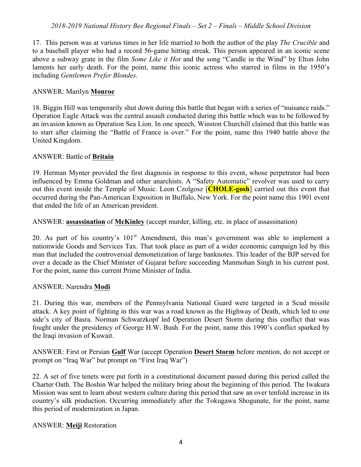## *2018-2019 National History Bee Regional Finals – Set 2 – Finals – Middle School Division*

17. This person was at various times in her life married to both the author of the play *The Crucible* and to a baseball player who had a record 56-game hitting streak. This person appeared in an iconic scene above a subway grate in the film *Some Like it Hot* and the song "Candle in the Wind" by Elton John laments her early death. For the point, name this iconic actress who starred in films in the 1950's including *Gentlemen Prefer Blondes*.

#### ANSWER: Marilyn **Monroe**

18. Biggin Hill was temporarily shut down during this battle that began with a series of "nuisance raids." Operation Eagle Attack was the central assault conducted during this battle which was to be followed by an invasion known as Operation Sea Lion. In one speech, Winston Churchill claimed that this battle was to start after claiming the "Battle of France is over." For the point, name this 1940 battle above the United Kingdom.

#### ANSWER: Battle of **Britain**

19. Herman Mynter provided the first diagnosis in response to this event, whose perpetrator had been influenced by Emma Goldman and other anarchists. A "Safety Automatic" revolver was used to carry out this event inside the Temple of Music. Leon Czolgosz [**CHOLE-gosh**] carried out this event that occurred during the Pan-American Exposition in Buffalo, New York. For the point name this 1901 event that ended the life of an American president.

ANSWER: **assassination** of **McKinley** (accept murder, killing, etc. in place of assassination)

20. As part of his country's  $101<sup>st</sup>$  Amendment, this man's government was able to implement a nationwide Goods and Services Tax. That took place as part of a wider economic campaign led by this man that included the controversial demonetization of large banknotes. This leader of the BJP served for over a decade as the Chief Minister of Gujarat before succeeding Manmohan Singh in his current post. For the point, name this current Prime Minister of India.

#### ANSWER: Narendra **Modi**

21. During this war, members of the Pennsylvania National Guard were targeted in a Scud missile attack. A key point of fighting in this war was a road known as the Highway of Death, which led to one side's city of Basra. Norman Schwarzkopf led Operation Desert Storm during this conflict that was fought under the presidency of George H.W. Bush. For the point, name this 1990's conflict sparked by the Iraqi invasion of Kuwait.

ANSWER: First or Persian **Gulf** War (accept Operation **Desert Storm** before mention, do not accept or prompt on "Iraq War" but prompt on "First Iraq War")

22. A set of five tenets were put forth in a constitutional document passed during this period called the Charter Oath. The Boshin War helped the military bring about the beginning of this period. The Iwakura Mission was sent to learn about western culture during this period that saw an over tenfold increase in its country's silk production. Occurring immediately after the Tokugawa Shogunate, for the point, name this period of modernization in Japan.

#### ANSWER: **Meiji** Restoration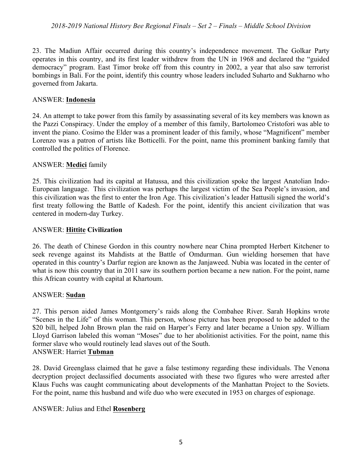23. The Madiun Affair occurred during this country's independence movement. The Golkar Party operates in this country, and its first leader withdrew from the UN in 1968 and declared the "guided democracy" program. East Timor broke off from this country in 2002, a year that also saw terrorist bombings in Bali. For the point, identify this country whose leaders included Suharto and Sukharno who governed from Jakarta.

## ANSWER: **Indonesia**

24. An attempt to take power from this family by assassinating several of its key members was known as the Pazzi Conspiracy. Under the employ of a member of this family, Bartolomeo Cristofori was able to invent the piano. Cosimo the Elder was a prominent leader of this family, whose "Magnificent" member Lorenzo was a patron of artists like Botticelli. For the point, name this prominent banking family that controlled the politics of Florence.

## ANSWER: **Medici** family

25. This civilization had its capital at Hatussa, and this civilization spoke the largest Anatolian Indo-European language. This civilization was perhaps the largest victim of the Sea People's invasion, and this civilization was the first to enter the Iron Age. This civilization's leader Hattusili signed the world's first treaty following the Battle of Kadesh. For the point, identify this ancient civilization that was centered in modern-day Turkey.

## ANSWER: **Hittite Civilization**

26. The death of Chinese Gordon in this country nowhere near China prompted Herbert Kitchener to seek revenge against its Mahdists at the Battle of Omdurman. Gun wielding horsemen that have operated in this country's Darfur region are known as the Janjaweed. Nubia was located in the center of what is now this country that in 2011 saw its southern portion became a new nation. For the point, name this African country with capital at Khartoum.

## ANSWER: **Sudan**

27. This person aided James Montgomery's raids along the Combahee River. Sarah Hopkins wrote "Scenes in the Life" of this woman. This person, whose picture has been proposed to be added to the \$20 bill, helped John Brown plan the raid on Harper's Ferry and later became a Union spy. William Lloyd Garrison labeled this woman "Moses" due to her abolitionist activities. For the point, name this former slave who would routinely lead slaves out of the South. ANSWER: Harriet **Tubman**

28. David Greenglass claimed that he gave a false testimony regarding these individuals. The Venona decryption project declassified documents associated with these two figures who were arrested after Klaus Fuchs was caught communicating about developments of the Manhattan Project to the Soviets. For the point, name this husband and wife duo who were executed in 1953 on charges of espionage.

## ANSWER: Julius and Ethel **Rosenberg**